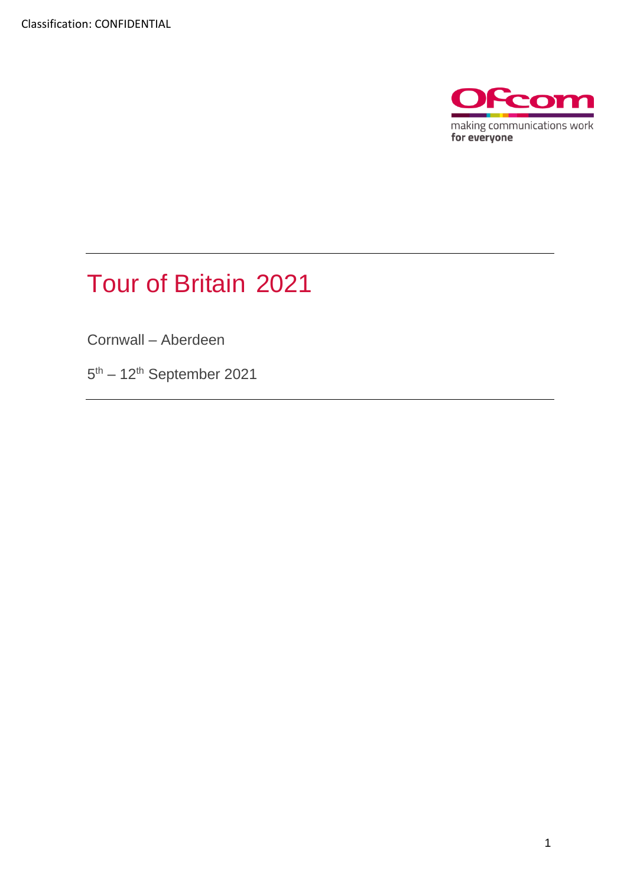

# Tour of Britain 2021

Cornwall – Aberdeen

5<sup>th</sup> – 12<sup>th</sup> September 2021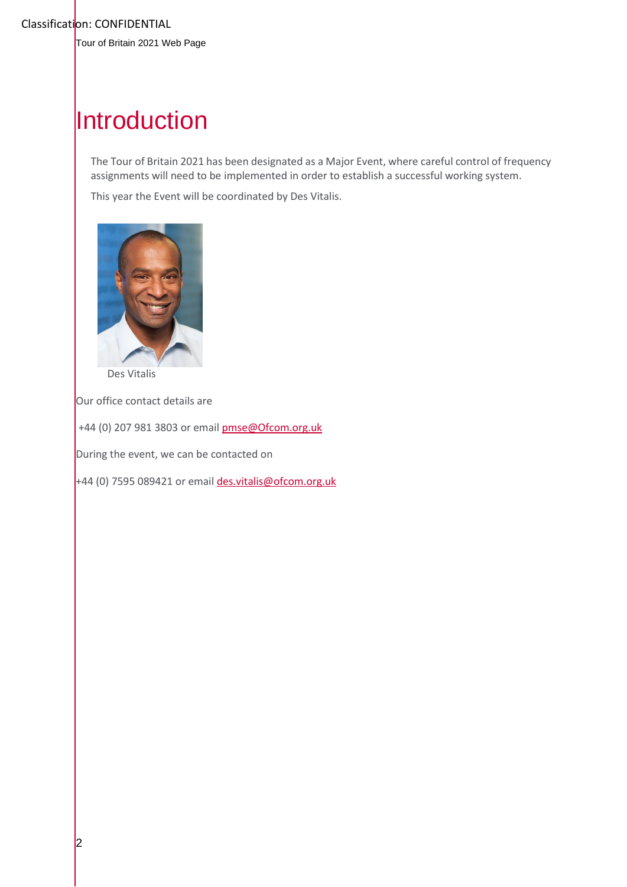Tour of Britain 2021 Web Page

## **Introduction**

The Tour of Britain 2021 has been designated as a Major Event, where careful control of frequency assignments will need to be implemented in order to establish a successful working system.

This year the Event will be coordinated by Des Vitalis.



Des Vitalis

Our office contact details are

+44 (0) 207 981 3803 or emai[l pmse@Ofcom.org.uk](mailto:pmse@arqiva.com)

During the event, we can be contacted on

+44 (0) 7595 089421 or email des.vitalis@ofcom.org.uk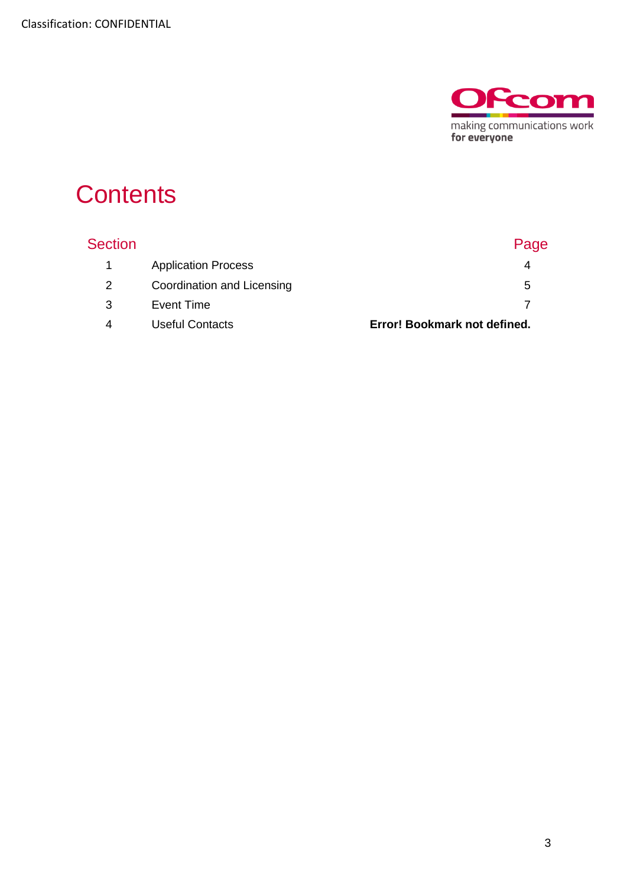

## **Contents**

| <b>Section</b> |                            | Page                         |
|----------------|----------------------------|------------------------------|
| $\sim$ 1       | <b>Application Process</b> |                              |
| 2              | Coordination and Licensing | 5                            |
| 3              | Event Time                 |                              |
| 4              | <b>Useful Contacts</b>     | Error! Bookmark not defined. |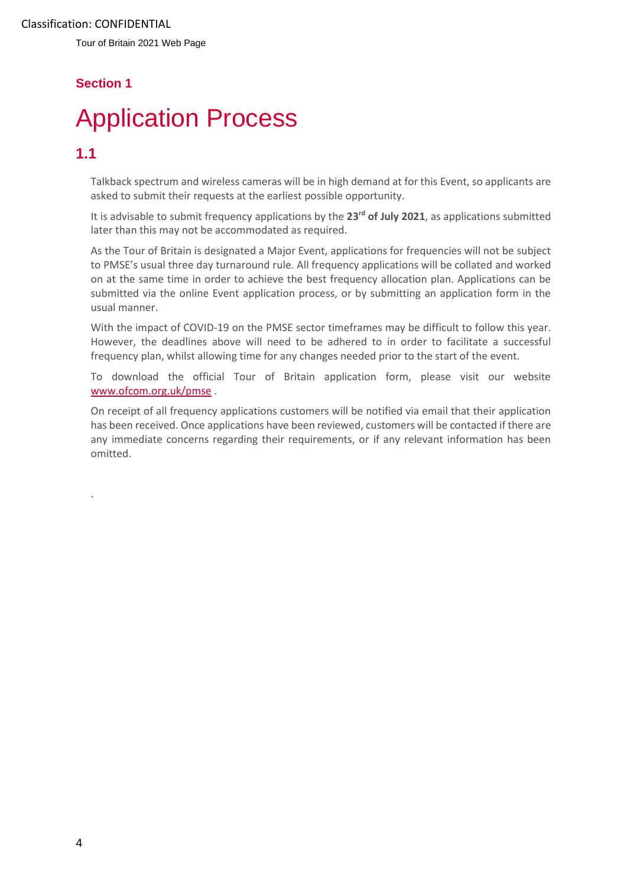Tour of Britain 2021 Web Page

### **Section 1**

# <span id="page-3-0"></span>**Application Process**

### **1.1**

.

Talkback spectrum and wireless cameras will be in high demand at for this Event, so applicants are asked to submit their requests at the earliest possible opportunity.

It is advisable to submit frequency applications by the 23<sup>rd</sup> of July 2021, as applications submitted later than this may not be accommodated as required.

As the Tour of Britain is designated a Major Event, applications for frequencies will not be subject to PMSE's usual three day turnaround rule. All frequency applications will be collated and worked on at the same time in order to achieve the best frequency allocation plan. Applications can be submitted via the online Event application process, or by submitting an application form in the usual manner.

With the impact of COVID-19 on the PMSE sector timeframes may be difficult to follow this year. However, the deadlines above will need to be adhered to in order to facilitate a successful frequency plan, whilst allowing time for any changes needed prior to the start of the event.

To download the official Tour of Britain application form, please visit our website [www.ofcom.org.uk/pmse](http://www.ofcom.org.uk/pmse) .

On receipt of all frequency applications customers will be notified via email that their application has been received. Once applications have been reviewed, customers will be contacted if there are any immediate concerns regarding their requirements, or if any relevant information has been omitted.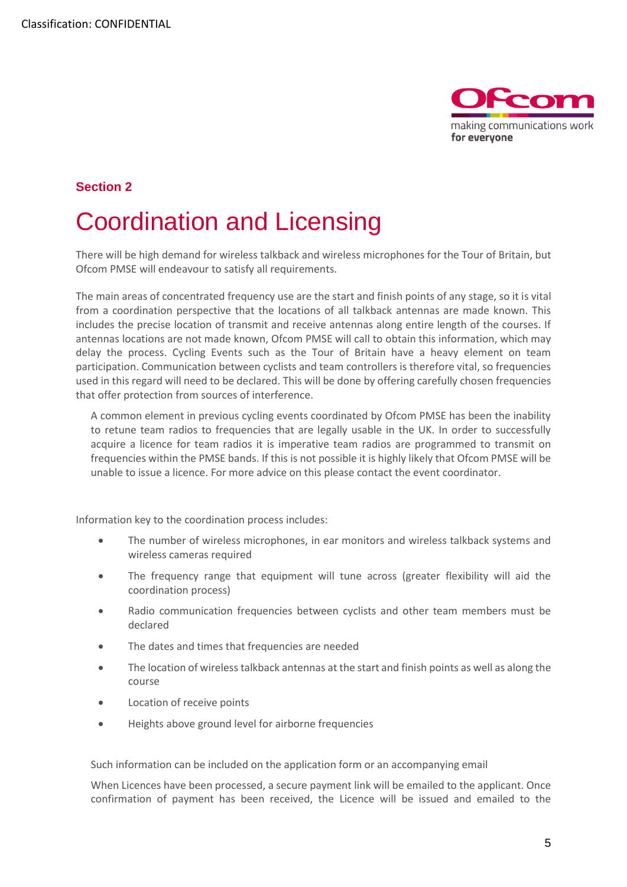

#### **Section 2**

## <span id="page-4-0"></span>**Coordination and Licensing**

There will be high demand for wireless talkback and wireless microphones for the Tour of Britain, but Ofcom PMSE will endeavour to satisfy all requirements.

The main areas of concentrated frequency use are the start and finish points of any stage, so it is vital from a coordination perspective that the locations of all talkback antennas are made known. This includes the precise location of transmit and receive antennas along entire length of the courses. If antennas locations are not made known, Ofcom PMSE will call to obtain this information, which may delay the process. Cycling Events such as the Tour of Britain have a heavy element on team participation. Communication between cyclists and team controllers is therefore vital, so frequencies used in this regard will need to be declared. This will be done by offering carefully chosen frequencies that offer protection from sources of interference.

A common element in previous cycling events coordinated by Ofcom PMSE has been the inability to retune team radios to frequencies that are legally usable in the UK. In order to successfully acquire a licence for team radios it is imperative team radios are programmed to transmit on frequencies within the PMSE bands. If this is not possible it is highly likely that Ofcom PMSE will be unable to issue a licence. For more advice on this please contact the event coordinator.

Information key to the coordination process includes:

- The number of wireless microphones, in ear monitors and wireless talkback systems and wireless cameras required
- The frequency range that equipment will tune across (greater flexibility will aid the coordination process)
- Radio communication frequencies between cyclists and other team members must be declared
- The dates and times that frequencies are needed
- The location of wireless talkback antennas at the start and finish points as well as along the course
- Location of receive points
- Heights above ground level for airborne frequencies

Such information can be included on the application form or an accompanying email

When Licences have been processed, a secure payment link will be emailed to the applicant. Once confirmation of payment has been received, the Licence will be issued and emailed to the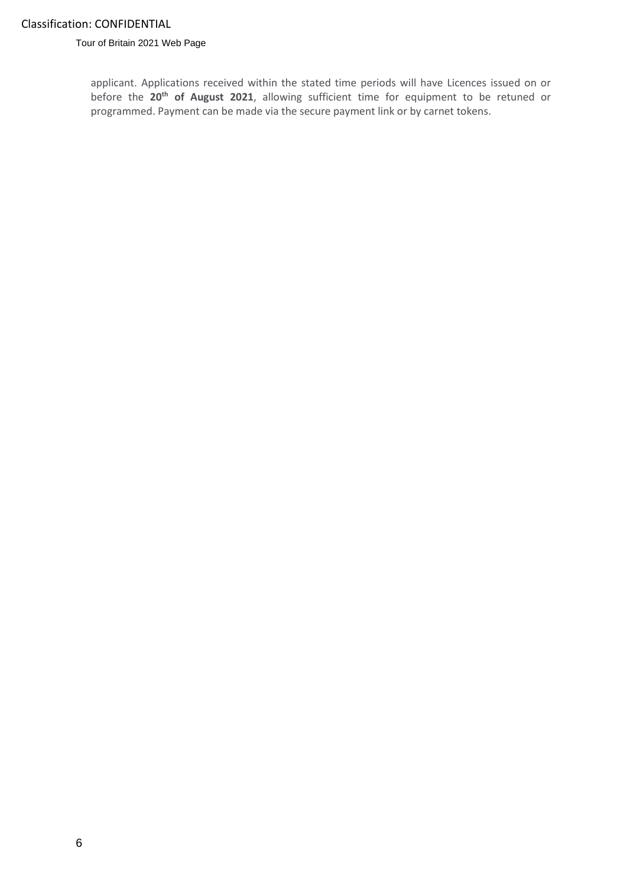Tour of Britain 2021 Web Page

applicant. Applications received within the stated time periods will have Licences issued on or before the **20th of August 2021**, allowing sufficient time for equipment to be retuned or programmed. Payment can be made via the secure payment link or by carnet tokens.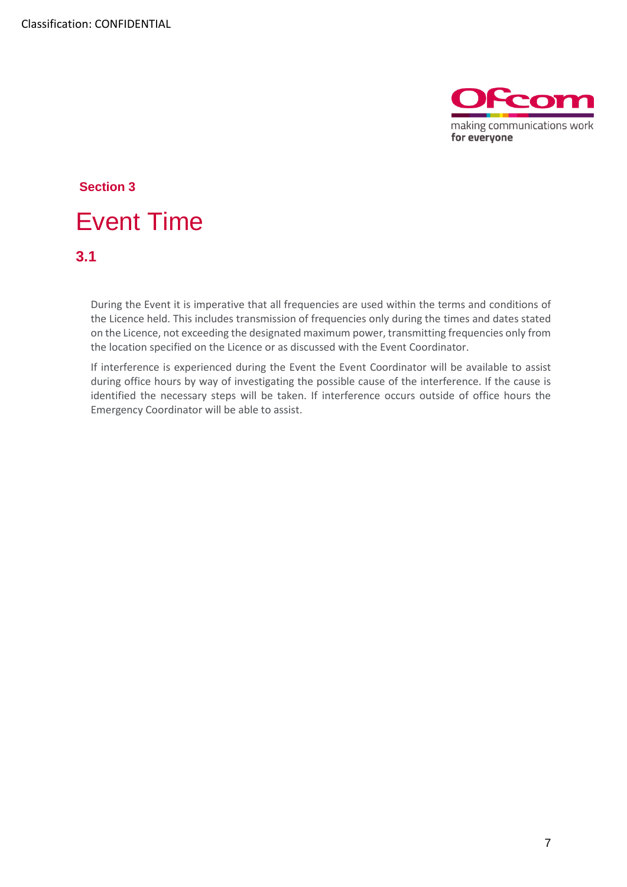

# <span id="page-6-0"></span>**Section 3 Event Time**

**3.1**

During the Event it is imperative that all frequencies are used within the terms and conditions of the Licence held. This includes transmission of frequencies only during the times and dates stated on the Licence, not exceeding the designated maximum power, transmitting frequencies only from the location specified on the Licence or as discussed with the Event Coordinator.

If interference is experienced during the Event the Event Coordinator will be available to assist during office hours by way of investigating the possible cause of the interference. If the cause is identified the necessary steps will be taken. If interference occurs outside of office hours the Emergency Coordinator will be able to assist.